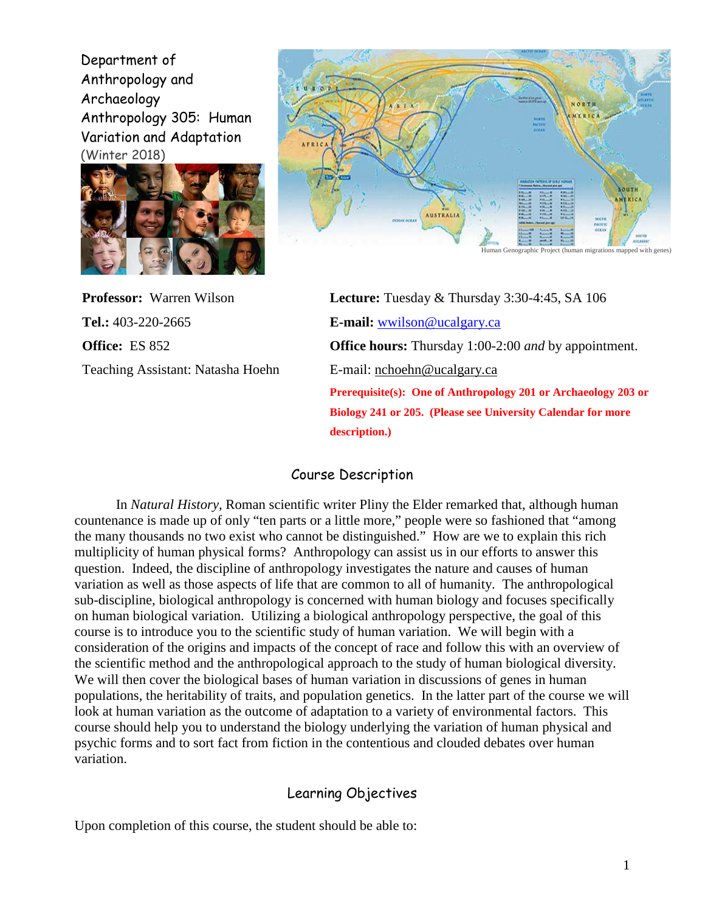Department of Anthropology and Archaeology Anthropology 305: Human Variation and Adaptation (Winter 2018)





**Tel.:** 403-220-2665 **E-mail:** [wwilson@ucalgary.ca](mailto:wwilson@ucalgary.ca) Teaching Assistant: Natasha Hoehn E-mail: [nchoehn@ucalgary.ca](mailto:nchoehn@ucalgary.ca)

**Professor:** Warren Wilson **Lecture:** Tuesday & Thursday 3:30-4:45, SA 106 **Office:** ES 852 **[Office](mailto:Office) hours:** Thursday 1:00-2:00 *and* by appointment. **Prerequisite(s): One of Anthropology 201 or Archaeology 203 or Biology 241 or 205. (Please see University Calendar for more description.)**

### Course Description

In *Natural History*, Roman scientific writer Pliny the Elder remarked that, although human countenance is made up of only "ten parts or a little more," people were so fashioned that "among the many thousands no two exist who cannot be distinguished." How are we to explain this rich multiplicity of human physical forms? Anthropology can assist us in our efforts to answer this question. Indeed, the discipline of anthropology investigates the nature and causes of human variation as well as those aspects of life that are common to all of humanity. The anthropological sub-discipline, biological anthropology is concerned with human biology and focuses specifically on human biological variation. Utilizing a biological anthropology perspective, the goal of this course is to introduce you to the scientific study of human variation. We will begin with a consideration of the origins and impacts of the concept of race and follow this with an overview of the scientific method and the anthropological approach to the study of human biological diversity. We will then cover the biological bases of human variation in discussions of genes in human populations, the heritability of traits, and population genetics. In the latter part of the course we will look at human variation as the outcome of adaptation to a variety of environmental factors. This course should help you to understand the biology underlying the variation of human physical and psychic forms and to sort fact from fiction in the contentious and clouded debates over human variation.

# Learning Objectives

Upon completion of this course, the student should be able to: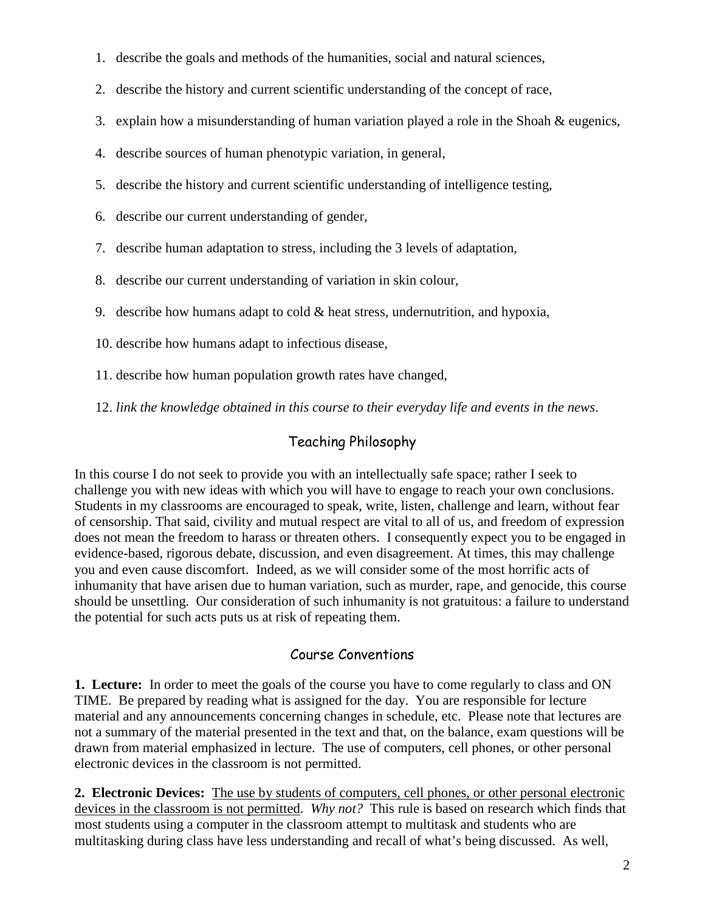- 1. describe the goals and methods of the humanities, social and natural sciences,
- 2. describe the history and current scientific understanding of the concept of race,
- 3. explain how a misunderstanding of human variation played a role in the Shoah  $\&$  eugenics,
- 4. describe sources of human phenotypic variation, in general,
- 5. describe the history and current scientific understanding of intelligence testing,
- 6. describe our current understanding of gender,
- 7. describe human adaptation to stress, including the 3 levels of adaptation,
- 8. describe our current understanding of variation in skin colour,
- 9. describe how humans adapt to cold  $&$  heat stress, undernutrition, and hypoxia,
- 10. describe how humans adapt to infectious disease,
- 11. describe how human population growth rates have changed,
- 12. *link the knowledge obtained in this course to their everyday life and events in the news*.

# Teaching Philosophy

In this course I do not seek to provide you with an intellectually safe space; rather I seek to challenge you with new ideas with which you will have to engage to reach your own conclusions. Students in my classrooms are encouraged to speak, write, listen, challenge and learn, without fear of censorship. That said, civility and mutual respect are vital to all of us, and freedom of expression does not mean the freedom to harass or threaten others. I consequently expect you to be engaged in evidence-based, rigorous debate, discussion, and even disagreement. At times, this may challenge you and even cause discomfort. Indeed, as we will consider some of the most horrific acts of inhumanity that have arisen due to human variation, such as murder, rape, and genocide, this course should be unsettling. Our consideration of such inhumanity is not gratuitous: a failure to understand the potential for such acts puts us at risk of repeating them.

# Course Conventions

**1. Lecture:**In order to meet the goals of the course you have to come regularly to class and ON TIME. Be prepared by reading what is assigned for the day. You are responsible for lecture material and any announcements concerning changes in schedule, etc. Please note that lectures are not a summary of the material presented in the text and that, on the balance, exam questions will be drawn from material emphasized in lecture. The use of computers, cell phones, or other personal electronic devices in the classroom is not permitted.

**2. Electronic Devices:** The use by students of computers, cell phones, or other personal electronic devices in the classroom is not permitted. *Why not?* This rule is based on research which finds that most students using a computer in the classroom attempt to multitask and students who are multitasking during class have less understanding and recall of what's being discussed. As well,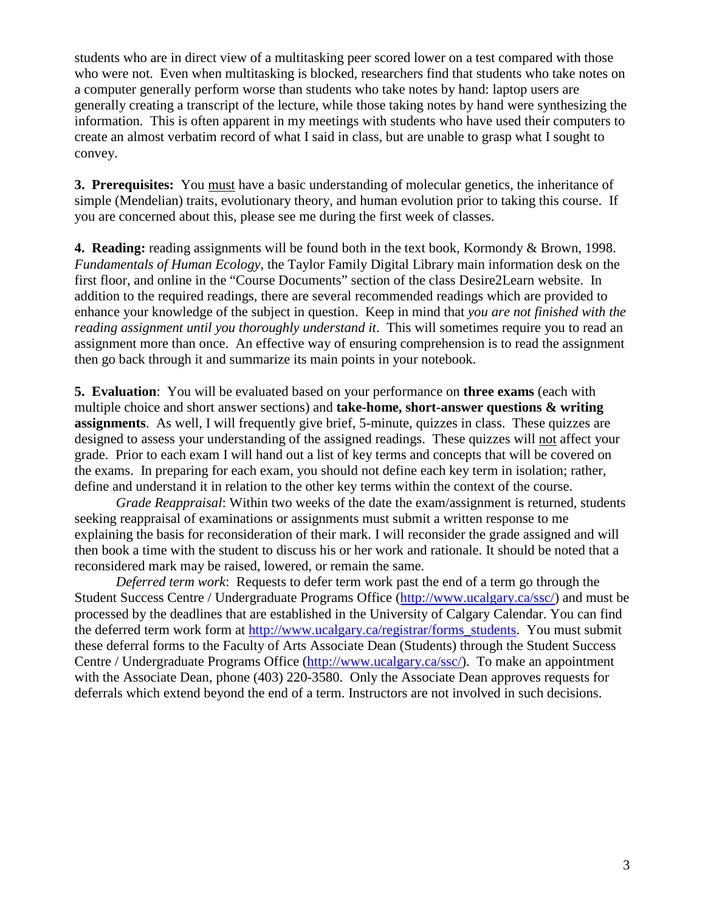students who are in direct view of a multitasking peer scored lower on a test compared with those who were not. Even when multitasking is blocked, researchers find that students who take notes on a computer generally perform worse than students who take notes by hand: laptop users are generally creating a transcript of the lecture, while those taking notes by hand were synthesizing the information. This is often apparent in my meetings with students who have used their computers to create an almost verbatim record of what I said in class, but are unable to grasp what I sought to convey.

**3. Prerequisites:** You must have a basic understanding of molecular genetics, the inheritance of simple (Mendelian) traits, evolutionary theory, and human evolution prior to taking this course. If you are concerned about this, please see me during the first week of classes.

**4. Reading:** reading assignments will be found both in the text book, Kormondy & Brown, 1998. *Fundamentals of Human Ecology*, the Taylor Family Digital Library main information desk on the first floor, and online in the "Course Documents" section of the class Desire2Learn website. In addition to the required readings, there are several recommended readings which are provided to enhance your knowledge of the subject in question. Keep in mind that *you are not finished with the reading assignment until you thoroughly understand it*. This will sometimes require you to read an assignment more than once. An effective way of ensuring comprehension is to read the assignment then go back through it and summarize its main points in your notebook.

**5. Evaluation**: You will be evaluated based on your performance on **three exams** (each with multiple choice and short answer sections) and **take-home, short-answer questions & writing assignments**. As well, I will frequently give brief, 5-minute, quizzes in class. These quizzes are designed to assess your understanding of the assigned readings. These quizzes will not affect your grade. Prior to each exam I will hand out a list of key terms and concepts that will be covered on the exams. In preparing for each exam, you should not define each key term in isolation; rather, define and understand it in relation to the other key terms within the context of the course.

*Grade Reappraisal*: Within two weeks of the date the exam/assignment is returned, students seeking reappraisal of examinations or assignments must submit a written response to me explaining the basis for reconsideration of their mark. I will reconsider the grade assigned and will then book a time with the student to discuss his or her work and rationale. It should be noted that a reconsidered mark may be raised, lowered, or remain the same.

*Deferred term work*: Requests to defer term work past the end of a term go through the Student Success Centre / Undergraduate Programs Office [\(http://www.ucalgary.ca/ssc/\)](http://www.ucalgary.ca/ssc/) and must be processed by the deadlines that are established in the University of Calgary Calendar. You can find the deferred term work form at [http://www.ucalgary.ca/registrar/forms\\_students.](http://www.ucalgary.ca/registrar/forms_students) You must submit these deferral forms to the Faculty of Arts Associate Dean (Students) through the Student Success Centre / Undergraduate Programs Office [\(http://www.ucalgary.ca/ssc/\)](http://www.ucalgary.ca/ssc/). To make an appointment with the Associate Dean, phone (403) 220-3580. Only the Associate Dean approves requests for deferrals which extend beyond the end of a term. Instructors are not involved in such decisions.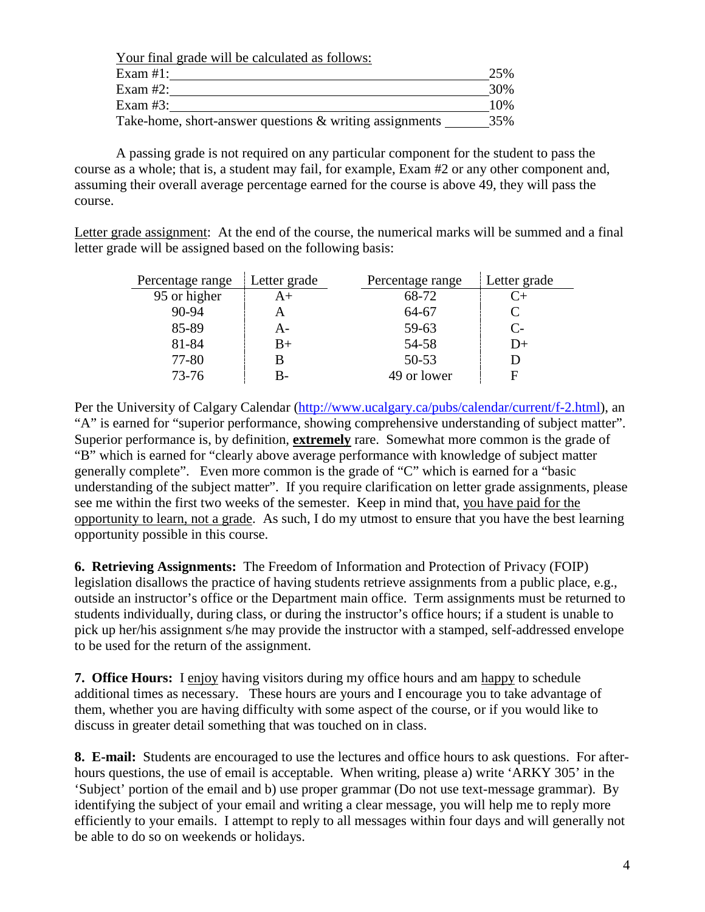| Your final grade will be calculated as follows:            |     |
|------------------------------------------------------------|-----|
| Exam $#1$ :                                                | 25% |
| Exam $#2$ :                                                | 30% |
| Exam $#3$ :                                                | 10% |
| Take-home, short-answer questions $\&$ writing assignments | 35% |

A passing grade is not required on any particular component for the student to pass the course as a whole; that is, a student may fail, for example, Exam #2 or any other component and, assuming their overall average percentage earned for the course is above 49, they will pass the course.

Letter grade assignment: At the end of the course, the numerical marks will be summed and a final letter grade will be assigned based on the following basis:

| Percentage range | Letter grade | Percentage range | Letter grade |
|------------------|--------------|------------------|--------------|
| 95 or higher     | $A+$         | 68-72            | C+           |
| 90-94            |              | 64-67            |              |
| 85-89            | A-           | 59-63            | $C-$         |
| 81-84            | B+           | 54-58            | D+           |
| 77-80            |              | $50 - 53$        |              |
| 73-76            | B-           | 49 or lower      |              |

Per the University of Calgary Calendar [\(http://www.ucalgary.ca/pubs/calendar/current/f-2.html\)](http://www.ucalgary.ca/pubs/calendar/current/f-2.html), an "A" is earned for "superior performance, showing comprehensive understanding of subject matter". Superior performance is, by definition, **extremely** rare. Somewhat more common is the grade of "B" which is earned for "clearly above average performance with knowledge of subject matter generally complete". Even more common is the grade of "C" which is earned for a "basic understanding of the subject matter". If you require clarification on letter grade assignments, please see me within the first two weeks of the semester. Keep in mind that, you have paid for the opportunity to learn, not a grade. As such, I do my utmost to ensure that you have the best learning opportunity possible in this course.

**6. Retrieving Assignments:** The Freedom of Information and Protection of Privacy (FOIP) legislation disallows the practice of having students retrieve assignments from a public place, e.g., outside an instructor's office or the Department main office. Term assignments must be returned to students individually, during class, or during the instructor's office hours; if a student is unable to pick up her/his assignment s/he may provide the instructor with a stamped, self-addressed envelope to be used for the return of the assignment.

**7. Office Hours:** I enjoy having visitors during my office hours and am happy to schedule additional times as necessary. These hours are yours and I encourage you to take advantage of them, whether you are having difficulty with some aspect of the course, or if you would like to discuss in greater detail something that was touched on in class.

**8. E-mail:** Students are encouraged to use the lectures and office hours to ask questions. For afterhours questions, the use of email is acceptable. When writing, please a) write 'ARKY 305' in the 'Subject' portion of the email and b) use proper grammar (Do not use text-message grammar). By identifying the subject of your email and writing a clear message, you will help me to reply more efficiently to your emails. I attempt to reply to all messages within four days and will generally not be able to do so on weekends or holidays.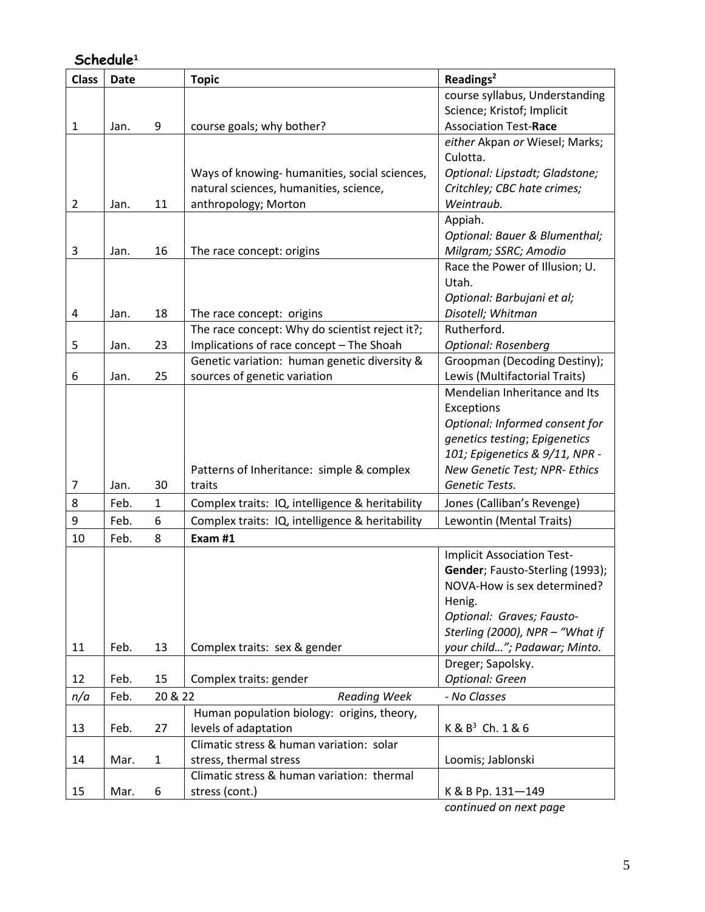# **Schedule<sup>1</sup>**

| <b>Class</b>   | <b>Date</b> |              | <b>Topic</b>                                    | Readings <sup>2</sup>                   |
|----------------|-------------|--------------|-------------------------------------------------|-----------------------------------------|
|                |             |              |                                                 | course syllabus, Understanding          |
|                |             |              |                                                 | Science; Kristof; Implicit              |
| $\mathbf{1}$   | Jan.        | 9            | course goals; why bother?                       | <b>Association Test-Race</b>            |
|                |             |              |                                                 | either Akpan or Wiesel; Marks;          |
|                |             |              |                                                 | Culotta.                                |
|                |             |              | Ways of knowing- humanities, social sciences,   | Optional: Lipstadt; Gladstone;          |
|                |             |              | natural sciences, humanities, science,          | Critchley; CBC hate crimes;             |
| $\overline{2}$ | Jan.        | 11           | anthropology; Morton                            | Weintraub.                              |
|                |             |              |                                                 | Appiah.                                 |
|                |             |              |                                                 | Optional: Bauer & Blumenthal;           |
| 3              | Jan.        | 16           | The race concept: origins                       | Milgram; SSRC; Amodio                   |
|                |             |              |                                                 | Race the Power of Illusion; U.<br>Utah. |
|                |             |              |                                                 | Optional: Barbujani et al;              |
| 4              | Jan.        | 18           | The race concept: origins                       | Disotell; Whitman                       |
|                |             |              | The race concept: Why do scientist reject it?;  | Rutherford.                             |
| 5              | Jan.        | 23           | Implications of race concept - The Shoah        | <b>Optional: Rosenberg</b>              |
|                |             |              | Genetic variation: human genetic diversity &    | Groopman (Decoding Destiny);            |
| 6              | Jan.        | 25           | sources of genetic variation                    | Lewis (Multifactorial Traits)           |
|                |             |              |                                                 | Mendelian Inheritance and Its           |
|                |             |              |                                                 | Exceptions                              |
|                |             |              |                                                 | Optional: Informed consent for          |
|                |             |              |                                                 | genetics testing; Epigenetics           |
|                |             |              |                                                 | 101; Epigenetics & 9/11, NPR -          |
|                |             |              | Patterns of Inheritance: simple & complex       | New Genetic Test; NPR- Ethics           |
| 7              | Jan.        | 30           | traits                                          | Genetic Tests.                          |
| 8              | Feb.        | $\mathbf{1}$ | Complex traits: IQ, intelligence & heritability | Jones (Calliban's Revenge)              |
| 9              | Feb.        | 6            | Complex traits: IQ, intelligence & heritability | Lewontin (Mental Traits)                |
| 10             | Feb.        | 8            | Exam #1                                         |                                         |
|                |             |              |                                                 | <b>Implicit Association Test-</b>       |
|                |             |              |                                                 | Gender; Fausto-Sterling (1993);         |
|                |             |              |                                                 | NOVA-How is sex determined?             |
|                |             |              |                                                 | Henig.                                  |
|                |             |              |                                                 | Optional: Graves; Fausto-               |
|                |             |              |                                                 | Sterling (2000), NPR - "What if         |
| 11             | Feb.        | 13           | Complex traits: sex & gender                    | your child"; Padawar; Minto.            |
|                |             |              |                                                 | Dreger; Sapolsky.                       |
| 12             | Feb.        | 15           | Complex traits: gender                          | <b>Optional: Green</b>                  |
| n/a            | Feb.        | 20 & 22      | <b>Reading Week</b>                             | - No Classes                            |
|                |             |              | Human population biology: origins, theory,      |                                         |
| 13             | Feb.        | 27           | levels of adaptation                            | $K & B3$ Ch. 1 & 6                      |
|                |             |              | Climatic stress & human variation: solar        |                                         |
| 14             | Mar.        | $\mathbf{1}$ | stress, thermal stress                          | Loomis; Jablonski                       |
|                |             |              | Climatic stress & human variation: thermal      |                                         |
| 15             | Mar.        | 6            | stress (cont.)                                  | K & B Pp. 131-149                       |

*continued on next page*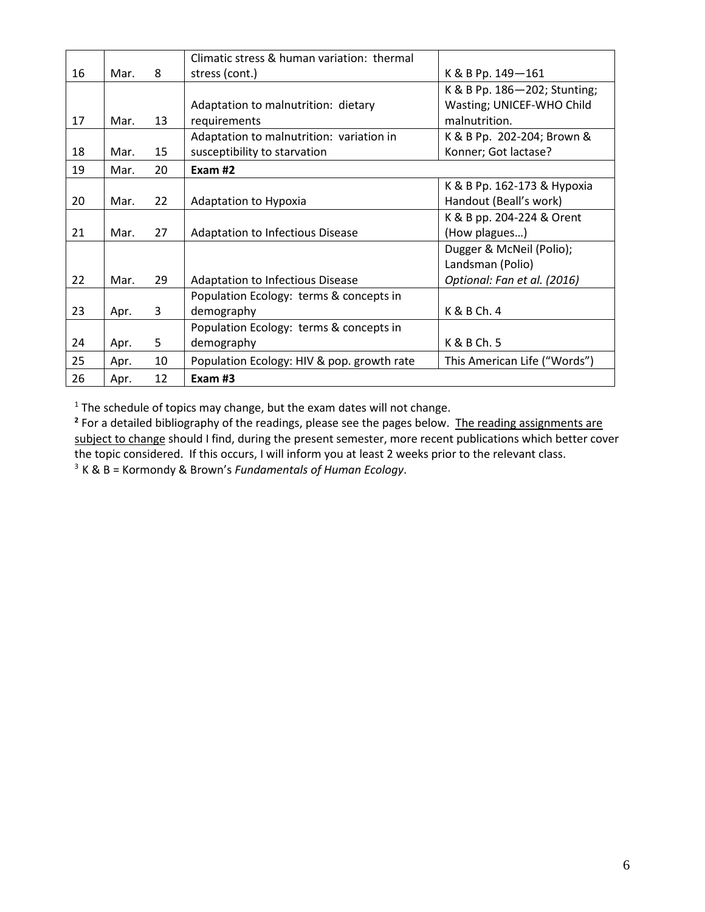|    |      |    | Climatic stress & human variation: thermal |                              |
|----|------|----|--------------------------------------------|------------------------------|
| 16 | Mar. | 8  | stress (cont.)                             | K & B Pp. 149-161            |
|    |      |    |                                            | K & B Pp. 186-202; Stunting; |
|    |      |    | Adaptation to malnutrition: dietary        | Wasting; UNICEF-WHO Child    |
| 17 | Mar. | 13 | requirements                               | malnutrition.                |
|    |      |    | Adaptation to malnutrition: variation in   | K & B Pp. 202-204; Brown &   |
| 18 | Mar. | 15 | susceptibility to starvation               | Konner; Got lactase?         |
| 19 | Mar. | 20 | Exam #2                                    |                              |
|    |      |    |                                            | K & B Pp. 162-173 & Hypoxia  |
| 20 | Mar. | 22 | Adaptation to Hypoxia                      | Handout (Beall's work)       |
|    |      |    |                                            | K & B pp. 204-224 & Orent    |
| 21 | Mar. | 27 | Adaptation to Infectious Disease           | (How plagues)                |
|    |      |    |                                            | Dugger & McNeil (Polio);     |
|    |      |    |                                            | Landsman (Polio)             |
| 22 | Mar. | 29 | Adaptation to Infectious Disease           | Optional: Fan et al. (2016)  |
|    |      |    | Population Ecology: terms & concepts in    |                              |
| 23 | Apr. | 3  | demography                                 | K & B Ch. 4                  |
|    |      |    | Population Ecology: terms & concepts in    |                              |
| 24 | Apr. | 5  | demography                                 | K & B Ch. 5                  |
| 25 | Apr. | 10 | Population Ecology: HIV & pop. growth rate | This American Life ("Words") |
| 26 | Apr. | 12 | Exam #3                                    |                              |

 $1$  The schedule of topics may change, but the exam dates will not change.

<sup>2</sup> For a detailed bibliography of the readings, please see the pages below. The reading assignments are subject to change should I find, during the present semester, more recent publications which better cover the topic considered. If this occurs, I will inform you at least 2 weeks prior to the relevant class. 3 K & B = Kormondy & Brown's *Fundamentals of Human Ecology*.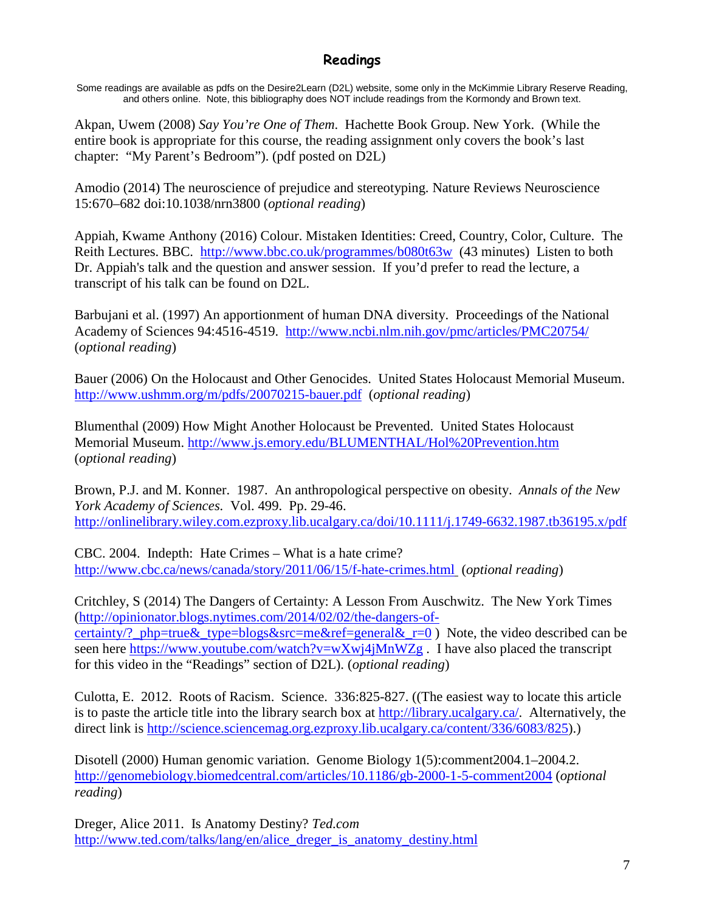# **Readings**

Some readings are available as pdfs on the Desire2Learn (D2L) website, some only in the McKimmie Library Reserve Reading, and others online. Note, this bibliography does NOT include readings from the Kormondy and Brown text.

Akpan, Uwem (2008) *Say You're One of Them*. Hachette Book Group. New York. (While the entire book is appropriate for this course, the reading assignment only covers the book's last chapter: "My Parent's Bedroom"). (pdf posted on D2L)

Amodio (2014) The neuroscience of prejudice and stereotyping. Nature Reviews Neuroscience 15:670–682 doi:10.1038/nrn3800 (*optional reading*)

Appiah, Kwame Anthony (2016) Colour. Mistaken Identities: Creed, Country, Color, Culture. The Reith Lectures. BBC. <http://www.bbc.co.uk/programmes/b080t63w> (43 minutes) Listen to both Dr. Appiah's talk and the question and answer session. If you'd prefer to read the lecture, a transcript of his talk can be found on D2L.

Barbujani et al. (1997) An apportionment of human DNA diversity. Proceedings of the National Academy of Sciences 94:4516-4519. <http://www.ncbi.nlm.nih.gov/pmc/articles/PMC20754/> (*optional reading*)

Bauer (2006) On the Holocaust and Other Genocides. United States Holocaust Memorial Museum. <http://www.ushmm.org/m/pdfs/20070215-bauer.pdf> (*optional reading*)

Blumenthal (2009) How Might Another Holocaust be Prevented. United States Holocaust Memorial Museum.<http://www.js.emory.edu/BLUMENTHAL/Hol%20Prevention.htm> (*optional reading*)

Brown, P.J. and M. Konner. 1987. An anthropological perspective on obesity. *Annals of the New York Academy of Sciences.* Vol. 499. Pp. 29-46. <http://onlinelibrary.wiley.com.ezproxy.lib.ucalgary.ca/doi/10.1111/j.1749-6632.1987.tb36195.x/pdf>

CBC. 2004. Indepth: Hate Crimes – What is a hate crime? <http://www.cbc.ca/news/canada/story/2011/06/15/f-hate-crimes.html> (*optional reading*)

Critchley, S (2014) The Dangers of Certainty: A Lesson From Auschwitz. The New York Times [\(http://opinionator.blogs.nytimes.com/2014/02/02/the-dangers-of](http://opinionator.blogs.nytimes.com/2014/02/02/the-dangers-of-certainty/?_php=true&_type=blogs&src=me&ref=general&_r=0)[certainty/?\\_php=true&\\_type=blogs&src=me&ref=general&\\_r=0](http://opinionator.blogs.nytimes.com/2014/02/02/the-dangers-of-certainty/?_php=true&_type=blogs&src=me&ref=general&_r=0) ) Note, the video described can be seen here<https://www.youtube.com/watch?v=wXwj4jMnWZg>. I have also placed the transcript for this video in the "Readings" section of D2L). (*optional reading*)

Culotta, E. 2012. Roots of Racism. Science. 336:825-827. ((The easiest way to locate this article is to paste the article title into the library search box at [http://library.ucalgary.ca/.](http://library.ucalgary.ca/) Alternatively, the direct link is [http://science.sciencemag.org.ezproxy.lib.ucalgary.ca/content/336/6083/825\)](http://science.sciencemag.org.ezproxy.lib.ucalgary.ca/content/336/6083/825).)

Disotell (2000) Human genomic variation. Genome Biology 1(5):comment2004.1–2004.2. <http://genomebiology.biomedcentral.com/articles/10.1186/gb-2000-1-5-comment2004> (*optional reading*)

Dreger, Alice 2011. Is Anatomy Destiny? *Ted.com* [http://www.ted.com/talks/lang/en/alice\\_dreger\\_is\\_anatomy\\_destiny.html](http://www.ted.com/talks/lang/en/alice_dreger_is_anatomy_destiny.html)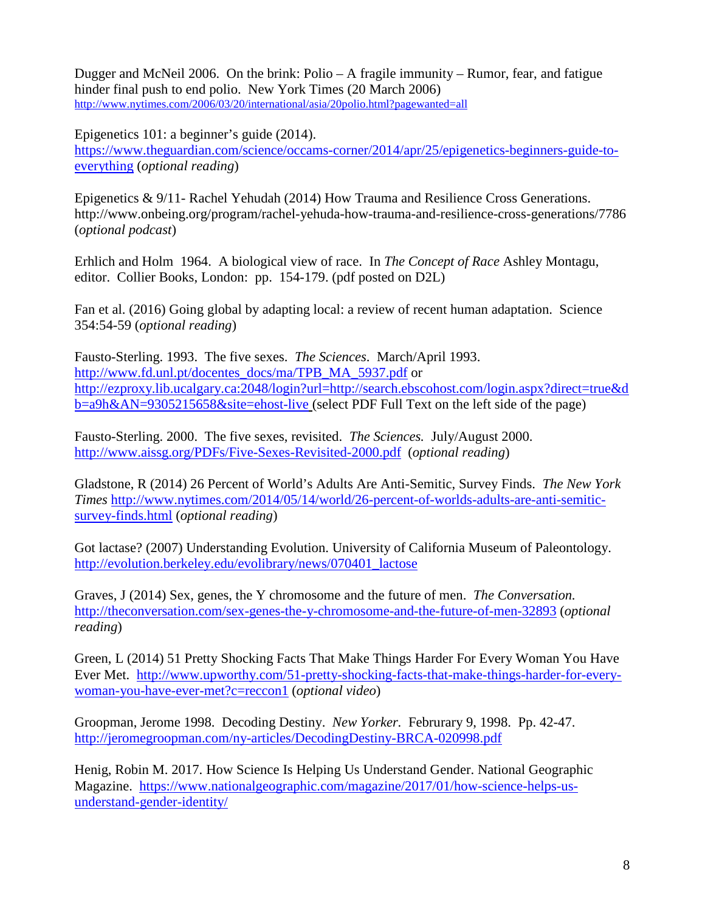Dugger and McNeil 2006. On the brink: Polio – A fragile immunity – Rumor, fear, and fatigue hinder final push to end polio. New York Times (20 March 2006) <http://www.nytimes.com/2006/03/20/international/asia/20polio.html?pagewanted=all>

Epigenetics 101: a beginner's guide (2014).

[https://www.theguardian.com/science/occams-corner/2014/apr/25/epigenetics-beginners-guide-to](https://www.theguardian.com/science/occams-corner/2014/apr/25/epigenetics-beginners-guide-to-everything)[everything](https://www.theguardian.com/science/occams-corner/2014/apr/25/epigenetics-beginners-guide-to-everything) (*optional reading*)

Epigenetics & 9/11- Rachel Yehudah (2014) How Trauma and Resilience Cross Generations. http://www.onbeing.org/program/rachel-yehuda-how-trauma-and-resilience-cross-generations/7786 (*optional podcast*)

Erhlich and Holm 1964. A biological view of race. In *The Concept of Race* Ashley Montagu, editor. Collier Books, London: pp. 154-179. (pdf posted on D2L)

Fan et al. (2016) Going global by adapting local: a review of recent human adaptation. Science 354:54-59 (*optional reading*)

Fausto-Sterling. 1993. The five sexes. *The Sciences*. March/April 1993. [http://www.fd.unl.pt/docentes\\_docs/ma/TPB\\_MA\\_5937.pdf](http://www.fd.unl.pt/docentes_docs/ma/TPB_MA_5937.pdf) or [http://ezproxy.lib.ucalgary.ca:2048/login?url=http://search.ebscohost.com/login.aspx?direct=true&d](http://ezproxy.lib.ucalgary.ca:2048/login?url=http://search.ebscohost.com/login.aspx?direct=true&db=a9h&AN=9305215658&site=ehost-live) [b=a9h&AN=9305215658&site=ehost-live](http://ezproxy.lib.ucalgary.ca:2048/login?url=http://search.ebscohost.com/login.aspx?direct=true&db=a9h&AN=9305215658&site=ehost-live) (select PDF Full Text on the left side of the page)

Fausto-Sterling. 2000. The five sexes, revisited. *The Sciences.* July/August 2000. <http://www.aissg.org/PDFs/Five-Sexes-Revisited-2000.pdf>(*optional reading*)

Gladstone, R (2014) 26 Percent of World's Adults Are Anti-Semitic, Survey Finds. *The New York Times* [http://www.nytimes.com/2014/05/14/world/26-percent-of-worlds-adults-are-anti-semitic](http://www.nytimes.com/2014/05/14/world/26-percent-of-worlds-adults-are-anti-semitic-survey-finds.html)[survey-finds.html](http://www.nytimes.com/2014/05/14/world/26-percent-of-worlds-adults-are-anti-semitic-survey-finds.html) (*optional reading*)

Got lactase? (2007) Understanding Evolution. University of California Museum of Paleontology. [http://evolution.berkeley.edu/evolibrary/news/070401\\_lactose](http://evolution.berkeley.edu/evolibrary/news/070401_lactose)

Graves, J (2014) Sex, genes, the Y chromosome and the future of men. *The Conversation.* <http://theconversation.com/sex-genes-the-y-chromosome-and-the-future-of-men-32893> (*optional reading*)

Green, L (2014) 51 Pretty Shocking Facts That Make Things Harder For Every Woman You Have Ever Met. [http://www.upworthy.com/51-pretty-shocking-facts-that-make-things-harder-for-every](http://www.upworthy.com/51-pretty-shocking-facts-that-make-things-harder-for-every-woman-you-have-ever-met?c=reccon1)[woman-you-have-ever-met?c=reccon1](http://www.upworthy.com/51-pretty-shocking-facts-that-make-things-harder-for-every-woman-you-have-ever-met?c=reccon1) (*optional video*)

Groopman, Jerome 1998. Decoding Destiny. *New Yorker.* Februrary 9, 1998. Pp. 42-47. <http://jeromegroopman.com/ny-articles/DecodingDestiny-BRCA-020998.pdf>

Henig, Robin M. 2017. How Science Is Helping Us Understand Gender. National Geographic Magazine. [https://www.nationalgeographic.com/magazine/2017/01/how-science-helps-us](https://www.nationalgeographic.com/magazine/2017/01/how-science-helps-us-understand-gender-identity/)[understand-gender-identity/](https://www.nationalgeographic.com/magazine/2017/01/how-science-helps-us-understand-gender-identity/)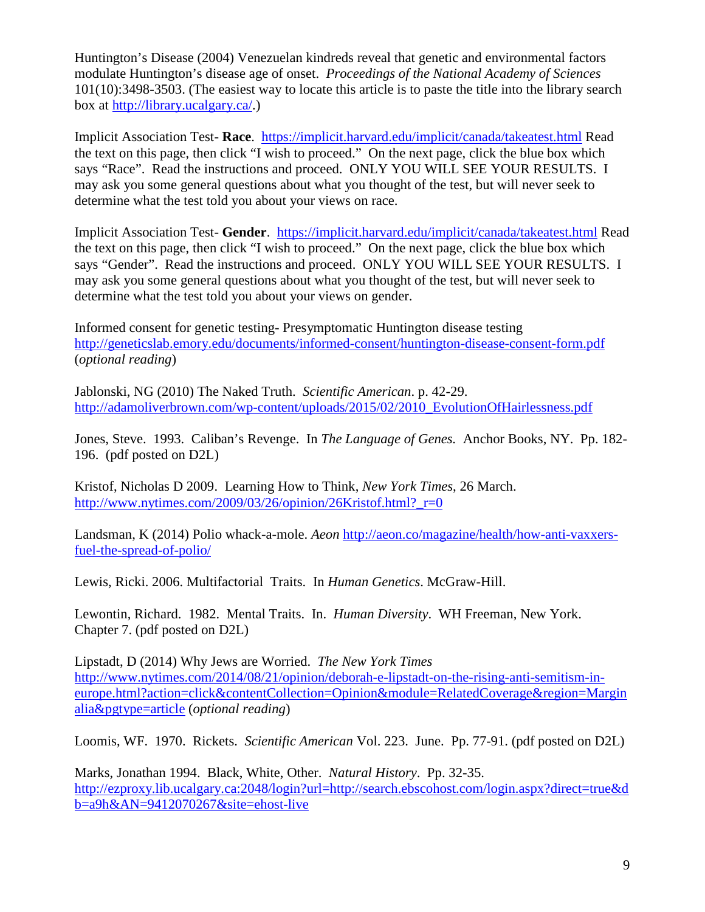Huntington's Disease (2004) Venezuelan kindreds reveal that genetic and environmental factors modulate Huntington's disease age of onset. *Proceedings of the National Academy of Sciences* 101(10):3498-3503. (The easiest way to locate this article is to paste the title into the library search box at [http://library.ucalgary.ca/.](http://library.ucalgary.ca/))

Implicit Association Test- **Race**. <https://implicit.harvard.edu/implicit/canada/takeatest.html> Read the text on this page, then click "I wish to proceed." On the next page, click the blue box which says "Race". Read the instructions and proceed. ONLY YOU WILL SEE YOUR RESULTS. I may ask you some general questions about what you thought of the test, but will never seek to determine what the test told you about your views on race.

Implicit Association Test- **Gender**. <https://implicit.harvard.edu/implicit/canada/takeatest.html> Read the text on this page, then click "I wish to proceed." On the next page, click the blue box which says "Gender". Read the instructions and proceed. ONLY YOU WILL SEE YOUR RESULTS. I may ask you some general questions about what you thought of the test, but will never seek to determine what the test told you about your views on gender.

Informed consent for genetic testing- Presymptomatic Huntington disease testing <http://geneticslab.emory.edu/documents/informed-consent/huntington-disease-consent-form.pdf> (*optional reading*)

Jablonski, NG (2010) The Naked Truth. *Scientific American*. p. 42-29. [http://adamoliverbrown.com/wp-content/uploads/2015/02/2010\\_EvolutionOfHairlessness.pdf](http://adamoliverbrown.com/wp-content/uploads/2015/02/2010_EvolutionOfHairlessness.pdf)

Jones, Steve. 1993. Caliban's Revenge. In *The Language of Genes.* Anchor Books, NY. Pp. 182- 196. (pdf posted on D2L)

Kristof, Nicholas D 2009. Learning How to Think, *New York Times*, 26 March. http://www.nytimes.com/2009/03/26/opinion/26Kristof.html? $r=0$ 

Landsman, K (2014) Polio whack-a-mole. *Aeon* [http://aeon.co/magazine/health/how-anti-vaxxers](http://aeon.co/magazine/health/how-anti-vaxxers-fuel-the-spread-of-polio/)[fuel-the-spread-of-polio/](http://aeon.co/magazine/health/how-anti-vaxxers-fuel-the-spread-of-polio/)

Lewis, Ricki. 2006. Multifactorial Traits. In *Human Genetics*. McGraw-Hill.

Lewontin, Richard. 1982. Mental Traits. In. *Human Diversity*. WH Freeman, New York. Chapter 7. (pdf posted on D2L)

Lipstadt, D (2014) Why Jews are Worried. *The New York Times* [http://www.nytimes.com/2014/08/21/opinion/deborah-e-lipstadt-on-the-rising-anti-semitism-in](http://www.nytimes.com/2014/08/21/opinion/deborah-e-lipstadt-on-the-rising-anti-semitism-in-europe.html?action=click&contentCollection=Opinion&module=RelatedCoverage®ion=Marginalia&pgtype=article)[europe.html?action=click&contentCollection=Opinion&module=RelatedCoverage&region=Margin](http://www.nytimes.com/2014/08/21/opinion/deborah-e-lipstadt-on-the-rising-anti-semitism-in-europe.html?action=click&contentCollection=Opinion&module=RelatedCoverage®ion=Marginalia&pgtype=article) [alia&pgtype=article](http://www.nytimes.com/2014/08/21/opinion/deborah-e-lipstadt-on-the-rising-anti-semitism-in-europe.html?action=click&contentCollection=Opinion&module=RelatedCoverage®ion=Marginalia&pgtype=article) (*optional reading*)

Loomis, WF. 1970. Rickets. *Scientific American* Vol. 223. June. Pp. 77-91. (pdf posted on D2L)

Marks, Jonathan 1994. Black, White, Other. *Natural History*. Pp. 32-35. [http://ezproxy.lib.ucalgary.ca:2048/login?url=http://search.ebscohost.com/login.aspx?direct=true&d](http://ezproxy.lib.ucalgary.ca:2048/login?url=http://search.ebscohost.com/login.aspx?direct=true&db=a9h&AN=9412070267&site=ehost-live) [b=a9h&AN=9412070267&site=ehost-live](http://ezproxy.lib.ucalgary.ca:2048/login?url=http://search.ebscohost.com/login.aspx?direct=true&db=a9h&AN=9412070267&site=ehost-live)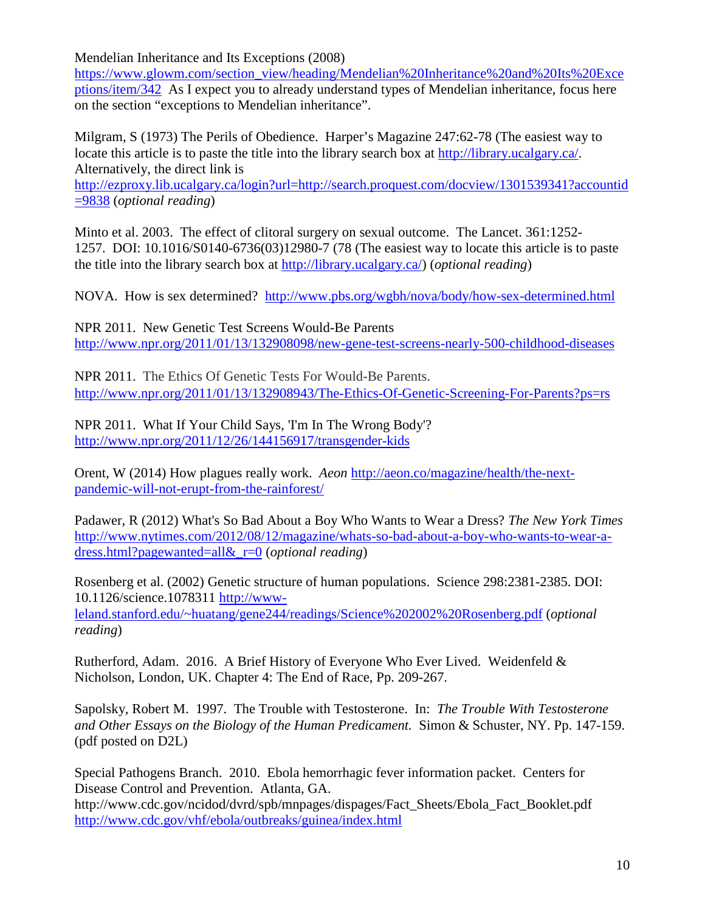Mendelian Inheritance and Its Exceptions (2008)

[https://www.glowm.com/section\\_view/heading/Mendelian%20Inheritance%20and%20Its%20Exce](https://www.glowm.com/section_view/heading/Mendelian%20Inheritance%20and%20Its%20Exceptions/item/342) [ptions/item/342](https://www.glowm.com/section_view/heading/Mendelian%20Inheritance%20and%20Its%20Exceptions/item/342) As I expect you to already understand types of Mendelian inheritance, focus here on the section "exceptions to Mendelian inheritance".

Milgram, S (1973) The Perils of Obedience. Harper's Magazine 247:62-78 (The easiest way to locate this article is to paste the title into the library search box at [http://library.ucalgary.ca/.](http://library.ucalgary.ca/) Alternatively, the direct link is

[http://ezproxy.lib.ucalgary.ca/login?url=http://search.proquest.com/docview/1301539341?accountid](http://ezproxy.lib.ucalgary.ca/login?url=http://search.proquest.com/docview/1301539341?accountid=9838) [=9838](http://ezproxy.lib.ucalgary.ca/login?url=http://search.proquest.com/docview/1301539341?accountid=9838) (*optional reading*)

Minto et al. 2003. The effect of clitoral surgery on sexual outcome. The Lancet. 361:1252- 1257. DOI: 10.1016/S0140-6736(03)12980-7 (78 (The easiest way to locate this article is to paste the title into the library search box at [http://library.ucalgary.ca/\)](http://library.ucalgary.ca/) (*optional reading*)

NOVA. How is sex determined? <http://www.pbs.org/wgbh/nova/body/how-sex-determined.html>

NPR 2011. New Genetic Test Screens Would-Be Parents <http://www.npr.org/2011/01/13/132908098/new-gene-test-screens-nearly-500-childhood-diseases>

NPR 2011. The Ethics Of Genetic Tests For Would-Be Parents. <http://www.npr.org/2011/01/13/132908943/The-Ethics-Of-Genetic-Screening-For-Parents?ps=rs>

NPR 2011. What If Your Child Says, 'I'm In The Wrong Body'? <http://www.npr.org/2011/12/26/144156917/transgender-kids>

Orent, W (2014) How plagues really work. *Aeon* [http://aeon.co/magazine/health/the-next](http://aeon.co/magazine/health/the-next-pandemic-will-not-erupt-from-the-rainforest/)[pandemic-will-not-erupt-from-the-rainforest/](http://aeon.co/magazine/health/the-next-pandemic-will-not-erupt-from-the-rainforest/)

Padawer, R (2012) What's So Bad About a Boy Who Wants to Wear a Dress? *The New York Times* [http://www.nytimes.com/2012/08/12/magazine/whats-so-bad-about-a-boy-who-wants-to-wear-a](http://www.nytimes.com/2012/08/12/magazine/whats-so-bad-about-a-boy-who-wants-to-wear-a-dress.html?pagewanted=all&_r=0)[dress.html?pagewanted=all&\\_r=0](http://www.nytimes.com/2012/08/12/magazine/whats-so-bad-about-a-boy-who-wants-to-wear-a-dress.html?pagewanted=all&_r=0) (*optional reading*)

Rosenberg et al. (2002) Genetic structure of human populations. Science 298:2381-2385. DOI: 10.1126/science.1078311 [http://www](http://www-leland.stanford.edu/%7Ehuatang/gene244/readings/Science%202002%20Rosenberg.pdf)[leland.stanford.edu/~huatang/gene244/readings/Science%202002%20Rosenberg.pdf](http://www-leland.stanford.edu/%7Ehuatang/gene244/readings/Science%202002%20Rosenberg.pdf) (*optional reading*)

Rutherford, Adam. 2016. A Brief History of Everyone Who Ever Lived. Weidenfeld & Nicholson, London, UK. Chapter 4: The End of Race, Pp. 209-267.

Sapolsky, Robert M. 1997. The Trouble with Testosterone. In: *The Trouble With Testosterone and Other Essays on the Biology of the Human Predicament.* Simon & Schuster, NY. Pp. 147-159. (pdf posted on D2L)

Special Pathogens Branch. 2010. Ebola hemorrhagic fever information packet. Centers for Disease Control and Prevention. Atlanta, GA.

http://www.cdc.gov/ncidod/dvrd/spb/mnpages/dispages/Fact\_Sheets/Ebola\_Fact\_Booklet.pdf <http://www.cdc.gov/vhf/ebola/outbreaks/guinea/index.html>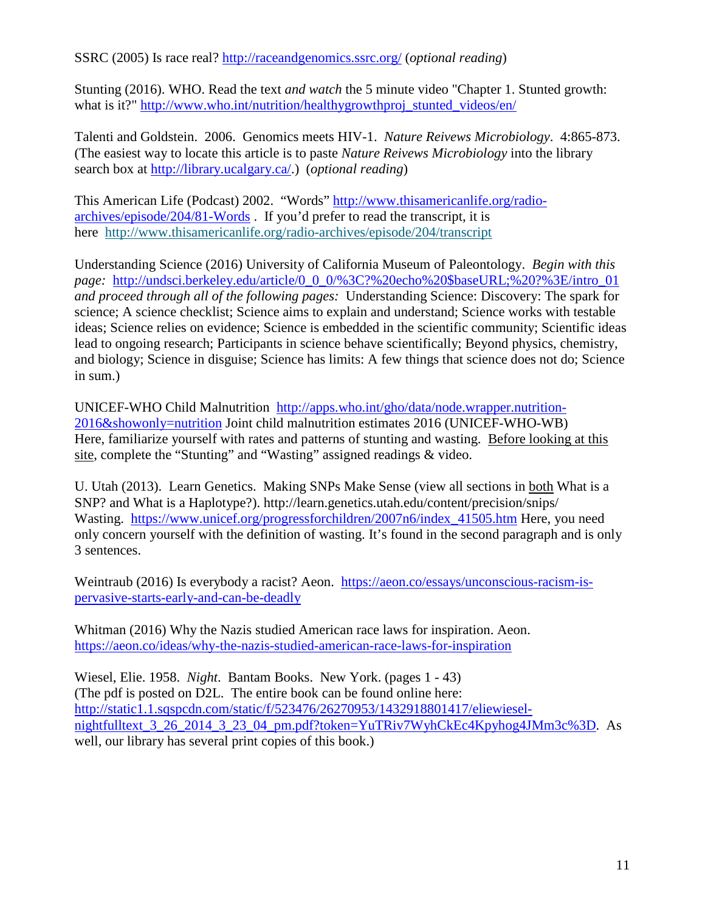SSRC (2005) Is race real?<http://raceandgenomics.ssrc.org/> (*optional reading*)

Stunting (2016). WHO. Read the text *and watch* the 5 minute video "Chapter 1. Stunted growth: what is it?" [http://www.who.int/nutrition/healthygrowthproj\\_stunted\\_videos/en/](http://www.who.int/nutrition/healthygrowthproj_stunted_videos/en/)

Talenti and Goldstein. 2006. Genomics meets HIV-1. *Nature Reivews Microbiology*. 4:865-873. (The easiest way to locate this article is to paste *Nature Reivews Microbiology* into the library search box at [http://library.ucalgary.ca/.](http://library.ucalgary.ca/)) (*optional reading*)

This American Life (Podcast) 2002. "Words" [http://www.thisamericanlife.org/radio](http://www.thisamericanlife.org/radio-archives/episode/204/81-Words)[archives/episode/204/81-Words](http://www.thisamericanlife.org/radio-archives/episode/204/81-Words) . If you'd prefer to read the transcript, it is here <http://www.thisamericanlife.org/radio-archives/episode/204/transcript>

Understanding Science (2016) University of California Museum of Paleontology. *Begin with this page:* [http://undsci.berkeley.edu/article/0\\_0\\_0/%3C?%20echo%20\\$baseURL;%20?%3E/intro\\_01](http://undsci.berkeley.edu/article/0_0_0/%3C?%20echo%20$baseURL;%20?%3E/intro_01) *and proceed through all of the following pages:* Understanding Science: Discovery: The spark for science; A science checklist; Science aims to explain and understand; Science works with testable ideas; Science relies on evidence; Science is embedded in the scientific community; Scientific ideas lead to ongoing research; Participants in science behave scientifically; Beyond physics, chemistry, and biology; Science in disguise; Science has limits: A few things that science does not do; Science in sum.)

UNICEF-WHO Child Malnutrition [http://apps.who.int/gho/data/node.wrapper.nutrition-](http://apps.who.int/gho/data/node.wrapper.nutrition-2016&showonly=nutrition)[2016&showonly=nutrition](http://apps.who.int/gho/data/node.wrapper.nutrition-2016&showonly=nutrition) Joint child malnutrition estimates 2016 (UNICEF-WHO-WB) Here, familiarize yourself with rates and patterns of stunting and wasting. Before looking at this site, complete the "Stunting" and "Wasting" assigned readings & video.

U. Utah (2013). Learn Genetics. Making SNPs Make Sense (view all sections in both What is a SNP? and What is a Haplotype?). http://learn.genetics.utah.edu/content/precision/snips/ Wasting. [https://www.unicef.org/progressforchildren/2007n6/index\\_41505.htm](https://www.unicef.org/progressforchildren/2007n6/index_41505.htm) Here, you need only concern yourself with the definition of wasting. It's found in the second paragraph and is only 3 sentences.

Weintraub (2016) Is everybody a racist? Aeon. [https://aeon.co/essays/unconscious-racism-is](https://aeon.co/essays/unconscious-racism-is-pervasive-starts-early-and-can-be-deadly)[pervasive-starts-early-and-can-be-deadly](https://aeon.co/essays/unconscious-racism-is-pervasive-starts-early-and-can-be-deadly)

Whitman (2016) Why the Nazis studied American race laws for inspiration. Aeon. <https://aeon.co/ideas/why-the-nazis-studied-american-race-laws-for-inspiration>

Wiesel, Elie. 1958. *Night*. Bantam Books. New York. (pages 1 - 43) (The pdf is posted on D2L. The entire book can be found online here: [http://static1.1.sqspcdn.com/static/f/523476/26270953/1432918801417/eliewiesel](http://static1.1.sqspcdn.com/static/f/523476/26270953/1432918801417/eliewiesel-nightfulltext_3_26_2014_3_23_04_pm.pdf?token=YuTRiv7WyhCkEc4Kpyhog4JMm3c%3D)nightfulltext 3 26 2014 3 23 04 pm.pdf?token=YuTRiv7WyhCkEc4Kpyhog4JMm3c%3D. As well, our library has several print copies of this book.)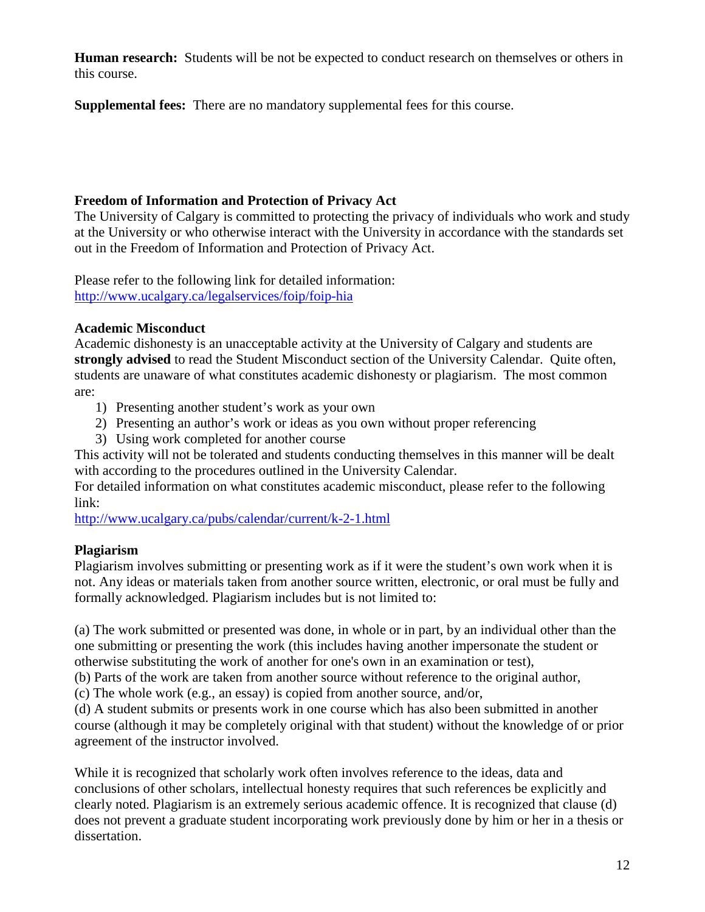**Human research:** Students will be not be expected to conduct research on themselves or others in this course.

**Supplemental fees:** There are no mandatory supplemental fees for this course.

### **Freedom of Information and Protection of Privacy Act**

The University of Calgary is committed to protecting the privacy of individuals who work and study at the University or who otherwise interact with the University in accordance with the standards set out in the Freedom of Information and Protection of Privacy Act.

Please refer to the following link for detailed information: <http://www.ucalgary.ca/legalservices/foip/foip-hia>

### **Academic Misconduct**

Academic dishonesty is an unacceptable activity at the University of Calgary and students are **strongly advised** to read the Student Misconduct section of the University Calendar. Quite often, students are unaware of what constitutes academic dishonesty or plagiarism. The most common are:

- 1) Presenting another student's work as your own
- 2) Presenting an author's work or ideas as you own without proper referencing
- 3) Using work completed for another course

This activity will not be tolerated and students conducting themselves in this manner will be dealt with according to the procedures outlined in the University Calendar.

For detailed information on what constitutes academic misconduct, please refer to the following link:

<http://www.ucalgary.ca/pubs/calendar/current/k-2-1.html>

# **Plagiarism**

Plagiarism involves submitting or presenting work as if it were the student's own work when it is not. Any ideas or materials taken from another source written, electronic, or oral must be fully and formally acknowledged. Plagiarism includes but is not limited to:

(a) The work submitted or presented was done, in whole or in part, by an individual other than the one submitting or presenting the work (this includes having another impersonate the student or otherwise substituting the work of another for one's own in an examination or test),

(b) Parts of the work are taken from another source without reference to the original author,

(c) The whole work (e.g., an essay) is copied from another source, and/or,

(d) A student submits or presents work in one course which has also been submitted in another course (although it may be completely original with that student) without the knowledge of or prior agreement of the instructor involved.

While it is recognized that scholarly work often involves reference to the ideas, data and conclusions of other scholars, intellectual honesty requires that such references be explicitly and clearly noted. Plagiarism is an extremely serious academic offence. It is recognized that clause (d) does not prevent a graduate student incorporating work previously done by him or her in a thesis or dissertation.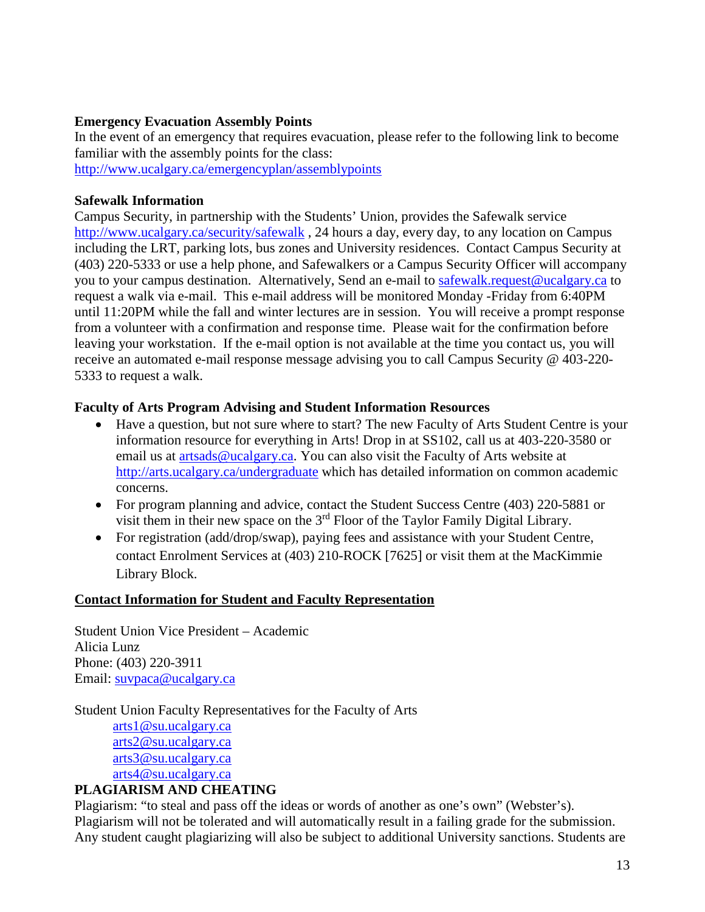#### **Emergency Evacuation Assembly Points**

In the event of an emergency that requires evacuation, please refer to the following link to become familiar with the assembly points for the class: <http://www.ucalgary.ca/emergencyplan/assemblypoints>

#### **Safewalk Information**

Campus Security, in partnership with the Students' Union, provides the Safewalk service <http://www.ucalgary.ca/security/safewalk> , 24 hours a day, every day, to any location on Campus including the LRT, parking lots, bus zones and University residences. Contact Campus Security at (403) 220-5333 or use a help phone, and Safewalkers or a Campus Security Officer will accompany you to your campus destination. Alternatively, Send an e-mail to [safewalk.request@ucalgary.ca](mailto:safewalk.request@ucalgary.ca) to request a walk via e-mail. This e-mail address will be monitored Monday -Friday from 6:40PM until 11:20PM while the fall and winter lectures are in session. You will receive a prompt response from a volunteer with a confirmation and response time. Please wait for the confirmation before leaving your workstation. If the e-mail option is not available at the time you contact us, you will receive an automated e-mail response message advising you to call Campus Security @ 403-220- 5333 to request a walk.

#### **Faculty of Arts Program Advising and Student Information Resources**

- Have a question, but not sure where to start? The new Faculty of Arts Student Centre is your information resource for everything in Arts! Drop in at SS102, call us at 403-220-3580 or email us at [artsads@ucalgary.ca.](mailto:artsads@ucalgary.ca) You can also visit the Faculty of Arts website at <http://arts.ucalgary.ca/undergraduate> which has detailed information on common academic concerns.
- For program planning and advice, contact the Student Success Centre (403) 220-5881 or visit them in their new space on the 3rd Floor of the Taylor Family Digital Library.
- For registration (add/drop/swap), paying fees and assistance with your Student Centre, contact Enrolment Services at (403) 210-ROCK [7625] or visit them at the MacKimmie Library Block.

#### **Contact Information for Student and Faculty Representation**

Student Union Vice President – Academic Alicia Lunz Phone: (403) 220-3911 Email: [suvpaca@ucalgary.ca](mailto:suvpaca@ucalgary.ca)

Student Union Faculty Representatives for the Faculty of Arts

[arts1@su.ucalgary.ca](mailto:arts1@su.ucalgary.ca) [arts2@su.ucalgary.ca](mailto:arts2@su.ucalgary.ca) [arts3@su.ucalgary.ca](mailto:arts3@su.ucalgary.ca) [arts4@su.ucalgary.ca](mailto:arts4@su.ucalgary.ca)

### **PLAGIARISM AND CHEATING**

Plagiarism: "to steal and pass off the ideas or words of another as one's own" (Webster's). Plagiarism will not be tolerated and will automatically result in a failing grade for the submission. Any student caught plagiarizing will also be subject to additional University sanctions. Students are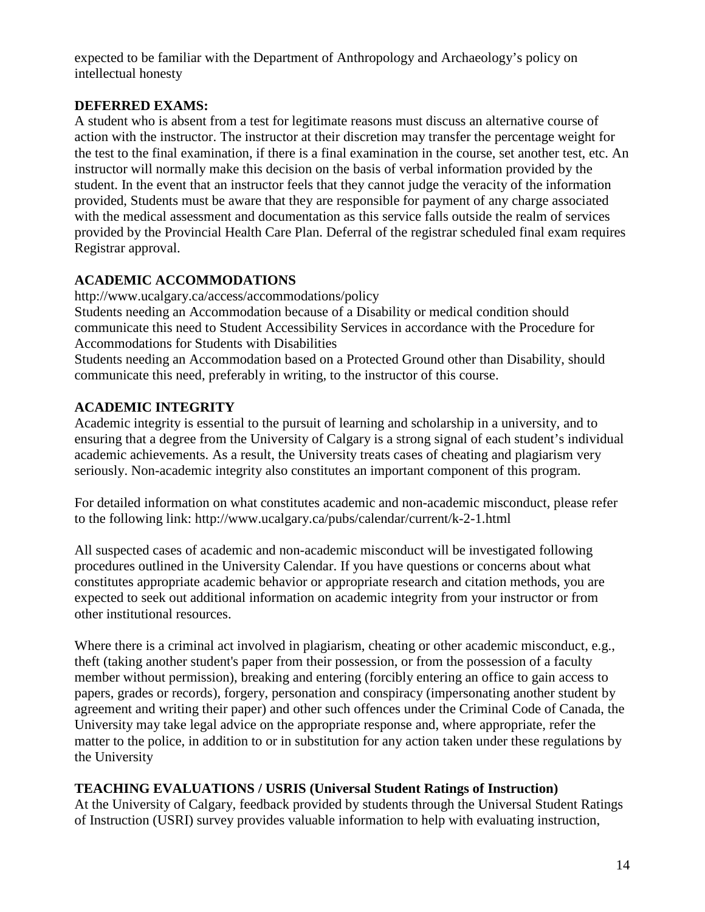expected to be familiar with the Department of Anthropology and Archaeology's policy on intellectual honesty

### **DEFERRED EXAMS:**

A student who is absent from a test for legitimate reasons must discuss an alternative course of action with the instructor. The instructor at their discretion may transfer the percentage weight for the test to the final examination, if there is a final examination in the course, set another test, etc. An instructor will normally make this decision on the basis of verbal information provided by the student. In the event that an instructor feels that they cannot judge the veracity of the information provided, Students must be aware that they are responsible for payment of any charge associated with the medical assessment and documentation as this service falls outside the realm of services provided by the Provincial Health Care Plan. Deferral of the registrar scheduled final exam requires Registrar approval.

# **ACADEMIC ACCOMMODATIONS**

http://www.ucalgary.ca/access/accommodations/policy Students needing an Accommodation because of a Disability or medical condition should communicate this need to Student Accessibility Services in accordance with the Procedure for Accommodations for Students with Disabilities

Students needing an Accommodation based on a Protected Ground other than Disability, should communicate this need, preferably in writing, to the instructor of this course.

# **ACADEMIC INTEGRITY**

Academic integrity is essential to the pursuit of learning and scholarship in a university, and to ensuring that a degree from the University of Calgary is a strong signal of each student's individual academic achievements. As a result, the University treats cases of cheating and plagiarism very seriously. Non-academic integrity also constitutes an important component of this program.

For detailed information on what constitutes academic and non-academic misconduct, please refer to the following link: http://www.ucalgary.ca/pubs/calendar/current/k-2-1.html

All suspected cases of academic and non-academic misconduct will be investigated following procedures outlined in the University Calendar. If you have questions or concerns about what constitutes appropriate academic behavior or appropriate research and citation methods, you are expected to seek out additional information on academic integrity from your instructor or from other institutional resources.

Where there is a criminal act involved in plagiarism, cheating or other academic misconduct, e.g., theft (taking another student's paper from their possession, or from the possession of a faculty member without permission), breaking and entering (forcibly entering an office to gain access to papers, grades or records), forgery, personation and conspiracy (impersonating another student by agreement and writing their paper) and other such offences under the Criminal Code of Canada, the University may take legal advice on the appropriate response and, where appropriate, refer the matter to the police, in addition to or in substitution for any action taken under these regulations by the University

# **TEACHING EVALUATIONS / USRIS (Universal Student Ratings of Instruction)**

At the University of Calgary, feedback provided by students through the Universal Student Ratings of Instruction (USRI) survey provides valuable information to help with evaluating instruction,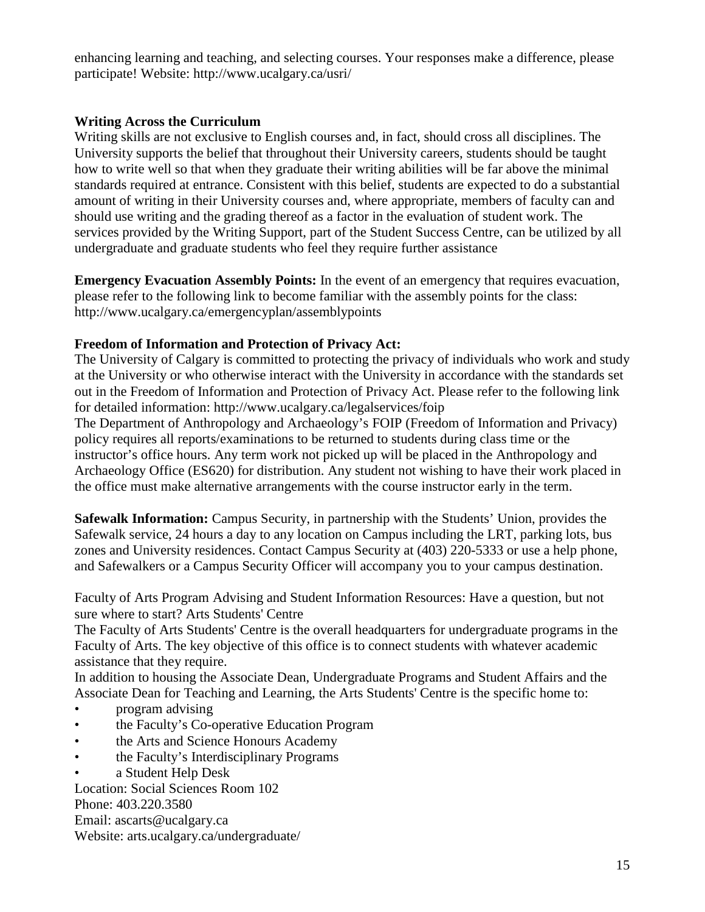enhancing learning and teaching, and selecting courses. Your responses make a difference, please participate! Website: http://www.ucalgary.ca/usri/

### **Writing Across the Curriculum**

Writing skills are not exclusive to English courses and, in fact, should cross all disciplines. The University supports the belief that throughout their University careers, students should be taught how to write well so that when they graduate their writing abilities will be far above the minimal standards required at entrance. Consistent with this belief, students are expected to do a substantial amount of writing in their University courses and, where appropriate, members of faculty can and should use writing and the grading thereof as a factor in the evaluation of student work. The services provided by the Writing Support, part of the Student Success Centre, can be utilized by all undergraduate and graduate students who feel they require further assistance

**Emergency Evacuation Assembly Points:** In the event of an emergency that requires evacuation, please refer to the following link to become familiar with the assembly points for the class: http://www.ucalgary.ca/emergencyplan/assemblypoints

### **Freedom of Information and Protection of Privacy Act:**

The University of Calgary is committed to protecting the privacy of individuals who work and study at the University or who otherwise interact with the University in accordance with the standards set out in the Freedom of Information and Protection of Privacy Act. Please refer to the following link for detailed information: http://www.ucalgary.ca/legalservices/foip

The Department of Anthropology and Archaeology's FOIP (Freedom of Information and Privacy) policy requires all reports/examinations to be returned to students during class time or the instructor's office hours. Any term work not picked up will be placed in the Anthropology and Archaeology Office (ES620) for distribution. Any student not wishing to have their work placed in the office must make alternative arrangements with the course instructor early in the term.

**Safewalk Information:** Campus Security, in partnership with the Students' Union, provides the Safewalk service, 24 hours a day to any location on Campus including the LRT, parking lots, bus zones and University residences. Contact Campus Security at (403) 220-5333 or use a help phone, and Safewalkers or a Campus Security Officer will accompany you to your campus destination.

Faculty of Arts Program Advising and Student Information Resources: Have a question, but not sure where to start? Arts Students' Centre

The Faculty of Arts Students' Centre is the overall headquarters for undergraduate programs in the Faculty of Arts. The key objective of this office is to connect students with whatever academic assistance that they require.

In addition to housing the Associate Dean, Undergraduate Programs and Student Affairs and the Associate Dean for Teaching and Learning, the Arts Students' Centre is the specific home to:

- program advising
- the Faculty's Co-operative Education Program
- the Arts and Science Honours Academy
- the Faculty's Interdisciplinary Programs
- a Student Help Desk

Location: Social Sciences Room 102 Phone: 403.220.3580 Email: ascarts@ucalgary.ca Website: arts.ucalgary.ca/undergraduate/